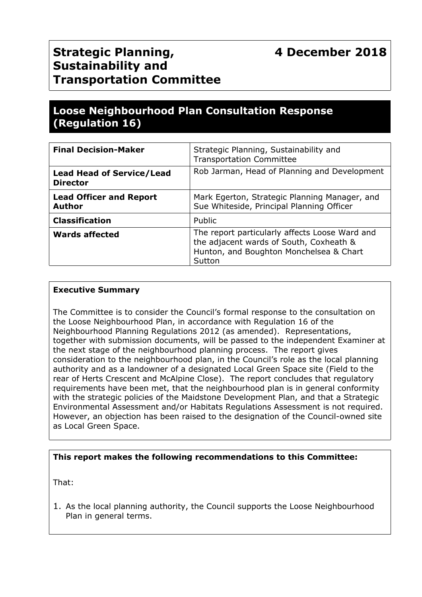# **Strategic Planning, Sustainability and Transportation Committee**

## **Loose Neighbourhood Plan Consultation Response (Regulation 16)**

| <b>Final Decision-Maker</b>                         | Strategic Planning, Sustainability and<br><b>Transportation Committee</b>                                                                      |
|-----------------------------------------------------|------------------------------------------------------------------------------------------------------------------------------------------------|
| <b>Lead Head of Service/Lead</b><br><b>Director</b> | Rob Jarman, Head of Planning and Development                                                                                                   |
| <b>Lead Officer and Report</b><br><b>Author</b>     | Mark Egerton, Strategic Planning Manager, and<br>Sue Whiteside, Principal Planning Officer                                                     |
| <b>Classification</b>                               | Public                                                                                                                                         |
| <b>Wards affected</b>                               | The report particularly affects Loose Ward and<br>the adjacent wards of South, Coxheath &<br>Hunton, and Boughton Monchelsea & Chart<br>Sutton |

#### **Executive Summary**

The Committee is to consider the Council's formal response to the consultation on the Loose Neighbourhood Plan, in accordance with Regulation 16 of the Neighbourhood Planning Regulations 2012 (as amended). Representations, together with submission documents, will be passed to the independent Examiner at the next stage of the neighbourhood planning process. The report gives consideration to the neighbourhood plan, in the Council's role as the local planning authority and as a landowner of a designated Local Green Space site (Field to the rear of Herts Crescent and McAlpine Close). The report concludes that regulatory requirements have been met, that the neighbourhood plan is in general conformity with the strategic policies of the Maidstone Development Plan, and that a Strategic Environmental Assessment and/or Habitats Regulations Assessment is not required. However, an objection has been raised to the designation of the Council-owned site as Local Green Space.

#### **This report makes the following recommendations to this Committee:**

That:

1. As the local planning authority, the Council supports the Loose Neighbourhood Plan in general terms.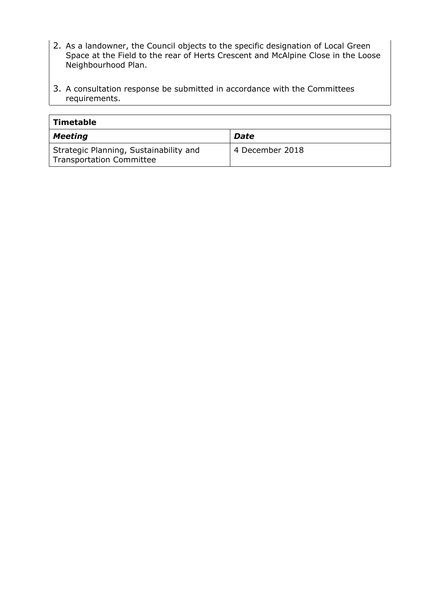- 2. As a landowner, the Council objects to the specific designation of Local Green Space at the Field to the rear of Herts Crescent and McAlpine Close in the Loose Neighbourhood Plan.
- 3. A consultation response be submitted in accordance with the Committees requirements.

| <b>Timetable</b>                                                          |                 |
|---------------------------------------------------------------------------|-----------------|
| <b>Meeting</b>                                                            | <b>Date</b>     |
| Strategic Planning, Sustainability and<br><b>Transportation Committee</b> | 4 December 2018 |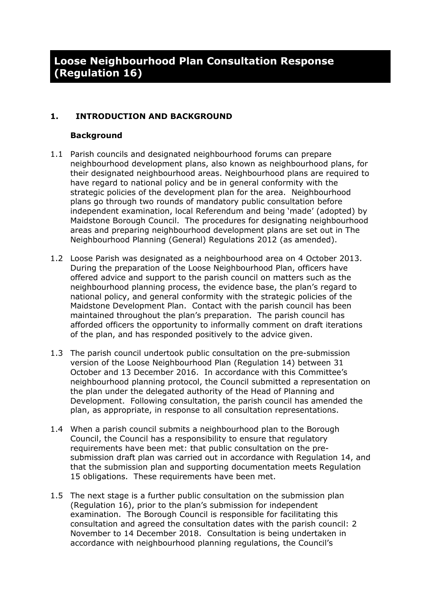#### **1. INTRODUCTION AND BACKGROUND**

#### **Background**

- 1.1 Parish councils and designated neighbourhood forums can prepare neighbourhood development plans, also known as neighbourhood plans, for their designated neighbourhood areas. Neighbourhood plans are required to have regard to national policy and be in general conformity with the strategic policies of the development plan for the area. Neighbourhood plans go through two rounds of mandatory public consultation before independent examination, local Referendum and being 'made' (adopted) by Maidstone Borough Council. The procedures for designating neighbourhood areas and preparing neighbourhood development plans are set out in The Neighbourhood Planning (General) Regulations 2012 (as amended).
- 1.2 Loose Parish was designated as a neighbourhood area on 4 October 2013. During the preparation of the Loose Neighbourhood Plan, officers have offered advice and support to the parish council on matters such as the neighbourhood planning process, the evidence base, the plan's regard to national policy, and general conformity with the strategic policies of the Maidstone Development Plan. Contact with the parish council has been maintained throughout the plan's preparation. The parish council has afforded officers the opportunity to informally comment on draft iterations of the plan, and has responded positively to the advice given.
- 1.3 The parish council undertook public consultation on the pre-submission version of the Loose Neighbourhood Plan (Regulation 14) between 31 October and 13 December 2016. In accordance with this Committee's neighbourhood planning protocol, the Council submitted a representation on the plan under the delegated authority of the Head of Planning and Development. Following consultation, the parish council has amended the plan, as appropriate, in response to all consultation representations.
- 1.4 When a parish council submits a neighbourhood plan to the Borough Council, the Council has a responsibility to ensure that regulatory requirements have been met: that public consultation on the presubmission draft plan was carried out in accordance with Regulation 14, and that the submission plan and supporting documentation meets Regulation 15 obligations. These requirements have been met.
- 1.5 The next stage is a further public consultation on the submission plan (Regulation 16), prior to the plan's submission for independent examination. The Borough Council is responsible for facilitating this consultation and agreed the consultation dates with the parish council: 2 November to 14 December 2018. Consultation is being undertaken in accordance with neighbourhood planning regulations, the Council's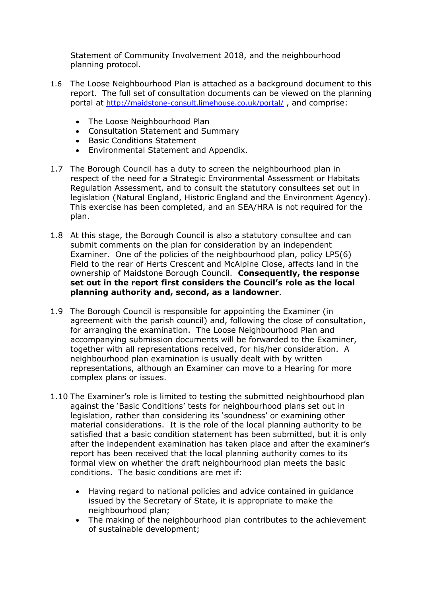Statement of Community Involvement 2018, and the neighbourhood planning protocol.

- 1.6 The Loose Neighbourhood Plan is attached as a background document to this report. The full set of consultation documents can be viewed on the planning portal at <http://maidstone-consult.limehouse.co.uk/portal/> , and comprise:
	- The Loose Neighbourhood Plan
	- Consultation Statement and Summary
	- Basic Conditions Statement
	- Environmental Statement and Appendix.
- 1.7 The Borough Council has a duty to screen the neighbourhood plan in respect of the need for a Strategic Environmental Assessment or Habitats Regulation Assessment, and to consult the statutory consultees set out in legislation (Natural England, Historic England and the Environment Agency). This exercise has been completed, and an SEA/HRA is not required for the plan.
- 1.8 At this stage, the Borough Council is also a statutory consultee and can submit comments on the plan for consideration by an independent Examiner. One of the policies of the neighbourhood plan, policy LP5(6) Field to the rear of Herts Crescent and McAlpine Close, affects land in the ownership of Maidstone Borough Council. **Consequently, the response set out in the report first considers the Council's role as the local planning authority and, second, as a landowner**.
- 1.9 The Borough Council is responsible for appointing the Examiner (in agreement with the parish council) and, following the close of consultation, for arranging the examination. The Loose Neighbourhood Plan and accompanying submission documents will be forwarded to the Examiner, together with all representations received, for his/her consideration. A neighbourhood plan examination is usually dealt with by written representations, although an Examiner can move to a Hearing for more complex plans or issues.
- 1.10 The Examiner's role is limited to testing the submitted neighbourhood plan against the 'Basic Conditions' tests for neighbourhood plans set out in legislation, rather than considering its 'soundness' or examining other material considerations. It is the role of the local planning authority to be satisfied that a basic condition statement has been submitted, but it is only after the independent examination has taken place and after the examiner's report has been received that the local planning authority comes to its formal view on whether the draft neighbourhood plan meets the basic conditions. The basic conditions are met if:
	- Having regard to national policies and advice contained in guidance issued by the Secretary of State, it is appropriate to make the neighbourhood plan;
	- The making of the neighbourhood plan contributes to the achievement of sustainable development;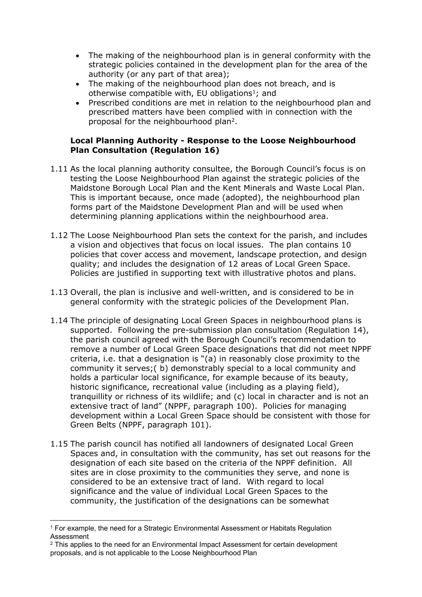- The making of the neighbourhood plan is in general conformity with the strategic policies contained in the development plan for the area of the authority (or any part of that area);
- The making of the neighbourhood plan does not breach, and is otherwise compatible with, EU obligations<sup>1</sup>; and
- Prescribed conditions are met in relation to the neighbourhood plan and prescribed matters have been complied with in connection with the proposal for the neighbourhood plan<sup>2</sup>.

#### **Local Planning Authority - Response to the Loose Neighbourhood Plan Consultation (Regulation 16)**

- 1.11 As the local planning authority consultee, the Borough Council's focus is on testing the Loose Neighbourhood Plan against the strategic policies of the Maidstone Borough Local Plan and the Kent Minerals and Waste Local Plan. This is important because, once made (adopted), the neighbourhood plan forms part of the Maidstone Development Plan and will be used when determining planning applications within the neighbourhood area.
- 1.12 The Loose Neighbourhood Plan sets the context for the parish, and includes a vision and objectives that focus on local issues. The plan contains 10 policies that cover access and movement, landscape protection, and design quality; and includes the designation of 12 areas of Local Green Space. Policies are justified in supporting text with illustrative photos and plans.
- 1.13 Overall, the plan is inclusive and well-written, and is considered to be in general conformity with the strategic policies of the Development Plan.
- 1.14 The principle of designating Local Green Spaces in neighbourhood plans is supported. Following the pre-submission plan consultation (Regulation 14), the parish council agreed with the Borough Council's recommendation to remove a number of Local Green Space designations that did not meet NPPF criteria, i.e. that a designation is "(a) in reasonably close proximity to the community it serves;( b) demonstrably special to a local community and holds a particular local significance, for example because of its beauty, historic significance, recreational value (including as a playing field), tranquillity or richness of its wildlife; and (c) local in character and is not an extensive tract of land" (NPPF, paragraph 100). Policies for managing development within a Local Green Space should be consistent with those for Green Belts (NPPF, paragraph 101).
- 1.15 The parish council has notified all landowners of designated Local Green Spaces and, in consultation with the community, has set out reasons for the designation of each site based on the criteria of the NPPF definition. All sites are in close proximity to the communities they serve, and none is considered to be an extensive tract of land. With regard to local significance and the value of individual Local Green Spaces to the community, the justification of the designations can be somewhat

<sup>&</sup>lt;sup>1</sup> For example, the need for a Strategic Environmental Assessment or Habitats Regulation Assessment

<sup>&</sup>lt;sup>2</sup> This applies to the need for an Environmental Impact Assessment for certain development proposals, and is not applicable to the Loose Neighbourhood Plan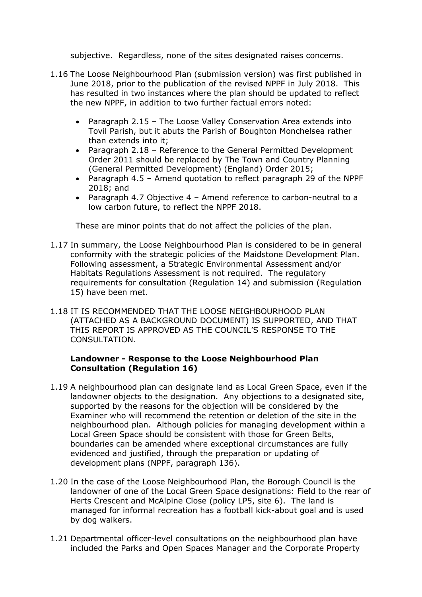subjective. Regardless, none of the sites designated raises concerns.

- 1.16 The Loose Neighbourhood Plan (submission version) was first published in June 2018, prior to the publication of the revised NPPF in July 2018. This has resulted in two instances where the plan should be updated to reflect the new NPPF, in addition to two further factual errors noted:
	- Paragraph 2.15 The Loose Valley Conservation Area extends into Tovil Parish, but it abuts the Parish of Boughton Monchelsea rather than extends into it;
	- Paragraph 2.18 Reference to the General Permitted Development Order 2011 should be replaced by The Town and Country Planning (General Permitted Development) (England) Order 2015;
	- Paragraph 4.5 Amend quotation to reflect paragraph 29 of the NPPF 2018; and
	- Paragraph 4.7 Objective 4 Amend reference to carbon-neutral to a low carbon future, to reflect the NPPF 2018.

These are minor points that do not affect the policies of the plan.

- 1.17 In summary, the Loose Neighbourhood Plan is considered to be in general conformity with the strategic policies of the Maidstone Development Plan. Following assessment, a Strategic Environmental Assessment and/or Habitats Regulations Assessment is not required. The regulatory requirements for consultation (Regulation 14) and submission (Regulation 15) have been met.
- 1.18 IT IS RECOMMENDED THAT THE LOOSE NEIGHBOURHOOD PLAN (ATTACHED AS A BACKGROUND DOCUMENT) IS SUPPORTED, AND THAT THIS REPORT IS APPROVED AS THE COUNCIL'S RESPONSE TO THE CONSULTATION.

#### **Landowner - Response to the Loose Neighbourhood Plan Consultation (Regulation 16)**

- 1.19 A neighbourhood plan can designate land as Local Green Space, even if the landowner objects to the designation. Any objections to a designated site, supported by the reasons for the objection will be considered by the Examiner who will recommend the retention or deletion of the site in the neighbourhood plan. Although policies for managing development within a Local Green Space should be consistent with those for Green Belts, boundaries can be amended where exceptional circumstances are fully evidenced and justified, through the preparation or updating of development plans (NPPF, paragraph 136).
- 1.20 In the case of the Loose Neighbourhood Plan, the Borough Council is the landowner of one of the Local Green Space designations: Field to the rear of Herts Crescent and McAlpine Close (policy LP5, site 6). The land is managed for informal recreation has a football kick-about goal and is used by dog walkers.
- 1.21 Departmental officer-level consultations on the neighbourhood plan have included the Parks and Open Spaces Manager and the Corporate Property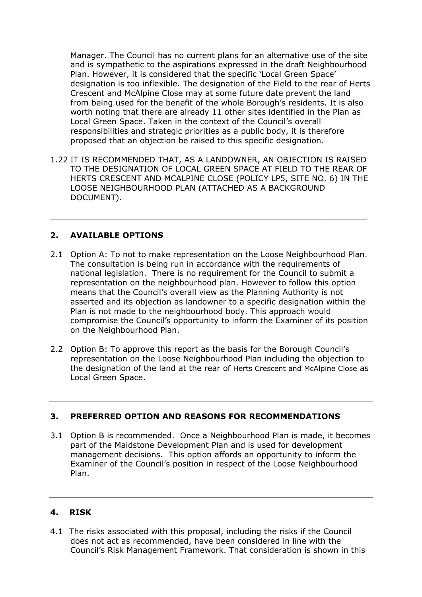Manager. The Council has no current plans for an alternative use of the site and is sympathetic to the aspirations expressed in the draft Neighbourhood Plan. However, it is considered that the specific 'Local Green Space' designation is too inflexible. The designation of the Field to the rear of Herts Crescent and McAlpine Close may at some future date prevent the land from being used for the benefit of the whole Borough's residents. It is also worth noting that there are already 11 other sites identified in the Plan as Local Green Space. Taken in the context of the Council's overall responsibilities and strategic priorities as a public body, it is therefore proposed that an objection be raised to this specific designation.

1.22 IT IS RECOMMENDED THAT, AS A LANDOWNER, AN OBJECTION IS RAISED TO THE DESIGNATION OF LOCAL GREEN SPACE AT FIELD TO THE REAR OF HERTS CRESCENT AND MCALPINE CLOSE (POLICY LP5, SITE NO. 6) IN THE LOOSE NEIGHBOURHOOD PLAN (ATTACHED AS A BACKGROUND DOCUMENT).

\_\_\_\_\_\_\_\_\_\_\_\_\_\_\_\_\_\_\_\_\_\_\_\_\_\_\_\_\_\_\_\_\_\_\_\_\_\_\_\_\_\_\_\_\_\_\_\_\_\_\_\_\_\_\_\_\_\_\_\_\_\_\_\_

#### **2. AVAILABLE OPTIONS**

- 2.1 Option A: To not to make representation on the Loose Neighbourhood Plan. The consultation is being run in accordance with the requirements of national legislation. There is no requirement for the Council to submit a representation on the neighbourhood plan. However to follow this option means that the Council's overall view as the Planning Authority is not asserted and its objection as landowner to a specific designation within the Plan is not made to the neighbourhood body. This approach would compromise the Council's opportunity to inform the Examiner of its position on the Neighbourhood Plan.
- 2.2 Option B: To approve this report as the basis for the Borough Council's representation on the Loose Neighbourhood Plan including the objection to the designation of the land at the rear of Herts Crescent and McAlpine Close as Local Green Space.

#### **3. PREFERRED OPTION AND REASONS FOR RECOMMENDATIONS**

3.1 Option B is recommended. Once a Neighbourhood Plan is made, it becomes part of the Maidstone Development Plan and is used for development management decisions. This option affords an opportunity to inform the Examiner of the Council's position in respect of the Loose Neighbourhood Plan.

#### **4. RISK**

4.1 The risks associated with this proposal, including the risks if the Council does not act as recommended, have been considered in line with the Council's Risk Management Framework. That consideration is shown in this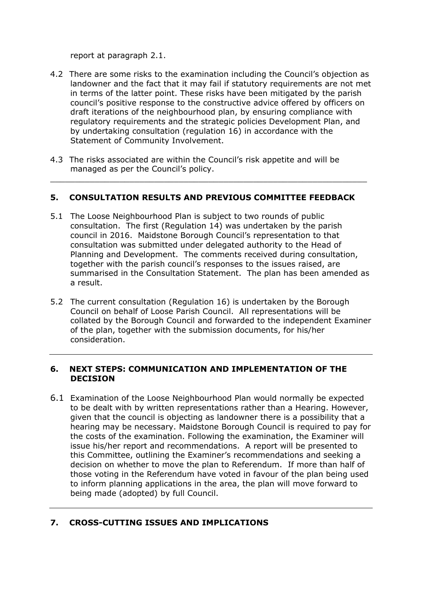report at paragraph 2.1.

- 4.2 There are some risks to the examination including the Council's objection as landowner and the fact that it may fail if statutory requirements are not met in terms of the latter point. These risks have been mitigated by the parish council's positive response to the constructive advice offered by officers on draft iterations of the neighbourhood plan, by ensuring compliance with regulatory requirements and the strategic policies Development Plan, and by undertaking consultation (regulation 16) in accordance with the Statement of Community Involvement.
- 4.3 The risks associated are within the Council's risk appetite and will be managed as per the Council's policy.

#### **5. CONSULTATION RESULTS AND PREVIOUS COMMITTEE FEEDBACK**

 $\_$  , and the set of the set of the set of the set of the set of the set of the set of the set of the set of the set of the set of the set of the set of the set of the set of the set of the set of the set of the set of th

- 5.1 The Loose Neighbourhood Plan is subject to two rounds of public consultation. The first (Regulation 14) was undertaken by the parish council in 2016. Maidstone Borough Council's representation to that consultation was submitted under delegated authority to the Head of Planning and Development. The comments received during consultation, together with the parish council's responses to the issues raised, are summarised in the Consultation Statement. The plan has been amended as a result.
- 5.2 The current consultation (Regulation 16) is undertaken by the Borough Council on behalf of Loose Parish Council. All representations will be collated by the Borough Council and forwarded to the independent Examiner of the plan, together with the submission documents, for his/her consideration.

#### **6. NEXT STEPS: COMMUNICATION AND IMPLEMENTATION OF THE DECISION**

6.1 Examination of the Loose Neighbourhood Plan would normally be expected to be dealt with by written representations rather than a Hearing. However, given that the council is objecting as landowner there is a possibility that a hearing may be necessary. Maidstone Borough Council is required to pay for the costs of the examination. Following the examination, the Examiner will issue his/her report and recommendations. A report will be presented to this Committee, outlining the Examiner's recommendations and seeking a decision on whether to move the plan to Referendum. If more than half of those voting in the Referendum have voted in favour of the plan being used to inform planning applications in the area, the plan will move forward to being made (adopted) by full Council.

## **7. CROSS-CUTTING ISSUES AND IMPLICATIONS**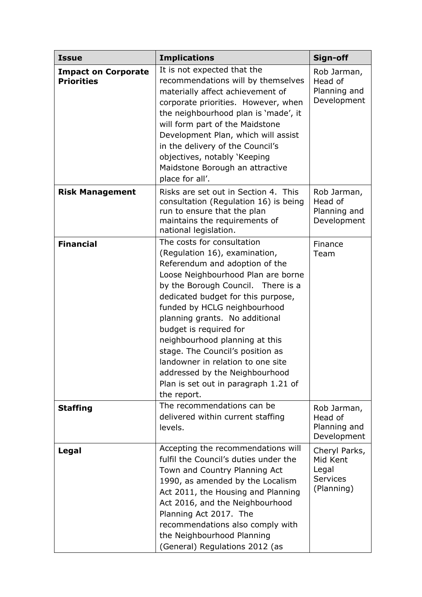| <b>Issue</b>                                    | <b>Implications</b>                                                                                                                                                                                                                                                                                                                                                                                                                                                                                             | Sign-off                                                            |
|-------------------------------------------------|-----------------------------------------------------------------------------------------------------------------------------------------------------------------------------------------------------------------------------------------------------------------------------------------------------------------------------------------------------------------------------------------------------------------------------------------------------------------------------------------------------------------|---------------------------------------------------------------------|
| <b>Impact on Corporate</b><br><b>Priorities</b> | It is not expected that the<br>recommendations will by themselves<br>materially affect achievement of<br>corporate priorities. However, when<br>the neighbourhood plan is 'made', it<br>will form part of the Maidstone<br>Development Plan, which will assist<br>in the delivery of the Council's<br>objectives, notably 'Keeping<br>Maidstone Borough an attractive<br>place for all'.                                                                                                                        | Rob Jarman,<br>Head of<br>Planning and<br>Development               |
| <b>Risk Management</b>                          | Risks are set out in Section 4. This<br>consultation (Regulation 16) is being<br>run to ensure that the plan<br>maintains the requirements of<br>national legislation.                                                                                                                                                                                                                                                                                                                                          | Rob Jarman,<br>Head of<br>Planning and<br>Development               |
| <b>Financial</b>                                | The costs for consultation<br>(Regulation 16), examination,<br>Referendum and adoption of the<br>Loose Neighbourhood Plan are borne<br>by the Borough Council. There is a<br>dedicated budget for this purpose,<br>funded by HCLG neighbourhood<br>planning grants. No additional<br>budget is required for<br>neighbourhood planning at this<br>stage. The Council's position as<br>landowner in relation to one site<br>addressed by the Neighbourhood<br>Plan is set out in paragraph 1.21 of<br>the report. | Finance<br>Team                                                     |
| <b>Staffing</b>                                 | The recommendations can be<br>delivered within current staffing<br>levels.                                                                                                                                                                                                                                                                                                                                                                                                                                      | Rob Jarman,<br>Head of<br>Planning and<br>Development               |
| Legal                                           | Accepting the recommendations will<br>fulfil the Council's duties under the<br>Town and Country Planning Act<br>1990, as amended by the Localism<br>Act 2011, the Housing and Planning<br>Act 2016, and the Neighbourhood<br>Planning Act 2017. The<br>recommendations also comply with<br>the Neighbourhood Planning<br>(General) Regulations 2012 (as                                                                                                                                                         | Cheryl Parks,<br>Mid Kent<br>Legal<br><b>Services</b><br>(Planning) |